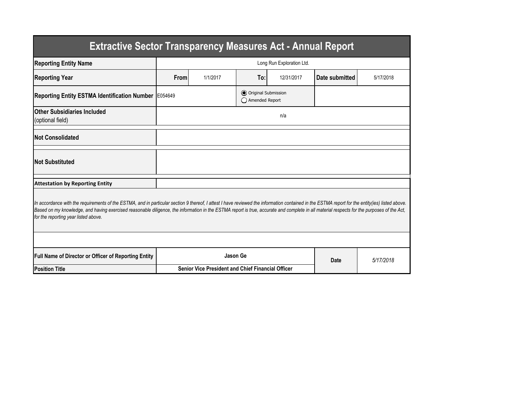| <b>Extractive Sector Transparency Measures Act - Annual Report</b>                                                                                                                                                                                                                                                                                                                                                                    |                                                          |          |                                           |            |                |           |  |  |  |
|---------------------------------------------------------------------------------------------------------------------------------------------------------------------------------------------------------------------------------------------------------------------------------------------------------------------------------------------------------------------------------------------------------------------------------------|----------------------------------------------------------|----------|-------------------------------------------|------------|----------------|-----------|--|--|--|
| <b>Reporting Entity Name</b>                                                                                                                                                                                                                                                                                                                                                                                                          | Long Run Exploration Ltd.                                |          |                                           |            |                |           |  |  |  |
| <b>Reporting Year</b>                                                                                                                                                                                                                                                                                                                                                                                                                 | From                                                     | 1/1/2017 | To:                                       | 12/31/2017 | Date submitted | 5/17/2018 |  |  |  |
| <b>Reporting Entity ESTMA Identification Number</b>                                                                                                                                                                                                                                                                                                                                                                                   | E054649                                                  |          | O Original Submission<br>◯ Amended Report |            |                |           |  |  |  |
| <b>Other Subsidiaries Included</b><br>(optional field)                                                                                                                                                                                                                                                                                                                                                                                | n/a                                                      |          |                                           |            |                |           |  |  |  |
| <b>Not Consolidated</b>                                                                                                                                                                                                                                                                                                                                                                                                               |                                                          |          |                                           |            |                |           |  |  |  |
| <b>Not Substituted</b>                                                                                                                                                                                                                                                                                                                                                                                                                |                                                          |          |                                           |            |                |           |  |  |  |
| <b>Attestation by Reporting Entity</b>                                                                                                                                                                                                                                                                                                                                                                                                |                                                          |          |                                           |            |                |           |  |  |  |
| In accordance with the requirements of the ESTMA, and in particular section 9 thereof, I attest I have reviewed the information contained in the ESTMA report for the entity(ies) listed above.<br>Based on my knowledge, and having exercised reasonable diligence, the information in the ESTMA report is true, accurate and complete in all material respects for the purposes of the Act,<br>for the reporting year listed above. |                                                          |          |                                           |            |                |           |  |  |  |
|                                                                                                                                                                                                                                                                                                                                                                                                                                       |                                                          |          |                                           |            |                |           |  |  |  |
| Full Name of Director or Officer of Reporting Entity                                                                                                                                                                                                                                                                                                                                                                                  | Jason Ge                                                 |          |                                           |            | Date           | 5/17/2018 |  |  |  |
| <b>Position Title</b>                                                                                                                                                                                                                                                                                                                                                                                                                 | <b>Senior Vice President and Chief Financial Officer</b> |          |                                           |            |                |           |  |  |  |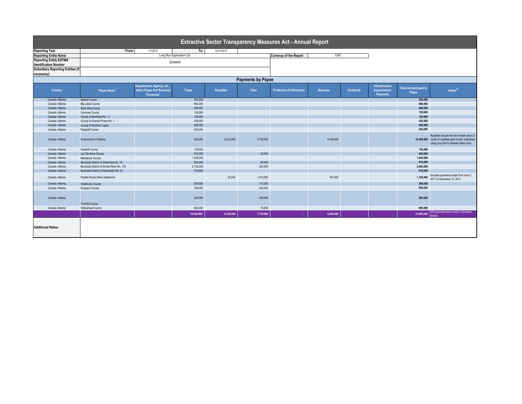| Extractive Sector Transparency Measures Act - Annual Report |                                           |                                                                                 |              |                  |                                      |                                |                |                  |                                                  |                                      |                                                                                                                                                |
|-------------------------------------------------------------|-------------------------------------------|---------------------------------------------------------------------------------|--------------|------------------|--------------------------------------|--------------------------------|----------------|------------------|--------------------------------------------------|--------------------------------------|------------------------------------------------------------------------------------------------------------------------------------------------|
| <b>Reporting Year</b>                                       | From:                                     | 1/1/2017                                                                        | To:          | 12/31/2017       |                                      |                                |                |                  |                                                  |                                      |                                                                                                                                                |
| <b>Reporting Entity Name</b>                                | Long Run Exploration Ltd.                 |                                                                                 |              |                  | <b>Currency of the Report</b><br>CAD |                                |                |                  |                                                  |                                      |                                                                                                                                                |
| <b>Reporting Entity ESTMA</b>                               | E054649                                   |                                                                                 |              |                  |                                      |                                |                |                  |                                                  |                                      |                                                                                                                                                |
| <b>Identification Number</b>                                |                                           |                                                                                 |              |                  |                                      |                                |                |                  |                                                  |                                      |                                                                                                                                                |
| <b>Subsidiary Reporting Entities (if</b>                    |                                           |                                                                                 |              |                  |                                      |                                |                |                  |                                                  |                                      |                                                                                                                                                |
| necessary)                                                  |                                           |                                                                                 |              |                  |                                      |                                |                |                  |                                                  |                                      |                                                                                                                                                |
| <b>Payments by Payee</b>                                    |                                           |                                                                                 |              |                  |                                      |                                |                |                  |                                                  |                                      |                                                                                                                                                |
| Country                                                     | Payee Name <sup>1</sup>                   | Departments, Agency, etc<br>within Payee that Received<br>Payments <sup>2</sup> | <b>Taxes</b> | <b>Royalties</b> | Fees                                 | <b>Production Entitlements</b> | <b>Bonuses</b> | <b>Dividends</b> | Infrastructure<br><b>Improvement</b><br>Payments | <b>Total Amount paid to</b><br>Payee | Notes <sup>34</sup>                                                                                                                            |
| Canada - Alberta                                            | <b>Beaver County</b>                      |                                                                                 | 350,000      |                  |                                      |                                |                |                  |                                                  | 350,000                              |                                                                                                                                                |
| Canada -Alberta                                             | <b>Big Lakes County</b>                   |                                                                                 | 600,000      |                  |                                      |                                |                |                  |                                                  | 600,000                              |                                                                                                                                                |
| Canada - Alberta                                            | <b>Birch Hills County</b>                 |                                                                                 | 460,000      |                  |                                      |                                |                |                  |                                                  | 460,000                              |                                                                                                                                                |
| Canada -Alberta                                             | Camrose County                            |                                                                                 | 120,000      |                  |                                      |                                |                |                  |                                                  | 120,000                              |                                                                                                                                                |
| Canada - Alberta                                            | County of Barrhead No. 11                 |                                                                                 | 150,000      |                  |                                      |                                |                |                  |                                                  | 150,000                              |                                                                                                                                                |
| Canada -Alberta                                             | County of Grande Prairie No. 1            |                                                                                 | 430,000      |                  |                                      |                                |                |                  |                                                  | 430,000                              |                                                                                                                                                |
| Canada - Alberta                                            | County of Northern Lights                 |                                                                                 | 400.000      |                  |                                      |                                |                |                  |                                                  | 400.000                              |                                                                                                                                                |
| Canada -Alberta                                             | <b>Flagstaff County</b>                   |                                                                                 | 430,000      |                  |                                      |                                |                |                  |                                                  | 430,000                              |                                                                                                                                                |
| Canada -Alberta                                             | Government of Alberta                     |                                                                                 | 220,000      | 8.310.000        | 5,750,000                            |                                | 5,180,000      |                  |                                                  |                                      | Royalties include the fair market value of<br>19,460,000 crude oil royalties paid in-kind, estimated<br>using Long Run's realized sales price. |
| Canada -Alberta                                             | <b>Kneehill County</b>                    |                                                                                 | 120,000      |                  |                                      |                                |                |                  |                                                  | 120,000                              |                                                                                                                                                |
| Canada - Alberta                                            | Lac Ste Anne County                       |                                                                                 | 810,000      |                  | 30,000                               |                                |                |                  |                                                  | 840,000                              |                                                                                                                                                |
| Canada -Alberta                                             | Mackenzie County                          |                                                                                 | 1,030,000    |                  |                                      |                                |                |                  |                                                  | 1,030,000                            |                                                                                                                                                |
| Canada -Alberta                                             | Municipal District of Greenview No. 16    |                                                                                 | 520,000      |                  | 90,000                               |                                |                |                  |                                                  | 610,000                              |                                                                                                                                                |
| Canada -Alberta                                             | Municipal District of Smoky River No. 130 |                                                                                 | 2,720,000    |                  | 220,000                              |                                |                |                  |                                                  | 2,940,000                            |                                                                                                                                                |
| Canada - Alberta                                            | Municipal District of Wainwright No. 61   |                                                                                 | 210,000      |                  |                                      |                                |                |                  |                                                  | 210,000                              |                                                                                                                                                |
| Canada -Alberta                                             | Paddle Prairie Metis Settlement           |                                                                                 |              | 20,000           | 1,010,000                            |                                | 100,000        |                  |                                                  | 1,130,000                            | Includes payments made from June 1,<br>2017 to December 31, 2017.                                                                              |
| Canada -Alberta                                             | Strathcona County                         |                                                                                 | 250,000      |                  | 110,000                              |                                |                |                  |                                                  | 360,000                              |                                                                                                                                                |
| Canada -Alberta                                             | <b>Sturgeon County</b>                    |                                                                                 | 750,000      |                  | 200,000                              |                                |                |                  |                                                  | 950,000                              |                                                                                                                                                |
| Canada -Alberta                                             | <b>Thorhild County</b>                    |                                                                                 | 240,000      |                  | 240,000                              |                                |                |                  |                                                  | 480.000                              |                                                                                                                                                |
| Canada -Alberta                                             | Yellowhead County                         |                                                                                 | 820,000      |                  | 70,000                               |                                |                |                  |                                                  | 890,000                              |                                                                                                                                                |
|                                                             |                                           |                                                                                 | 10,630,000   | 8,330,000        | 7,720,000                            | ×.                             | 5,280,000      |                  |                                                  | 31,960,000                           | All payments were made in Canadian                                                                                                             |
| <b>Additional Notes:</b>                                    |                                           |                                                                                 |              |                  |                                      |                                |                |                  |                                                  |                                      |                                                                                                                                                |